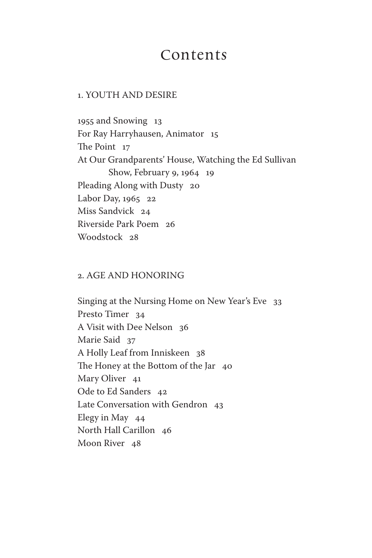# Contents

#### 1. YOUTH AND DESIRE

1955 and Snowing 13 For Ray Harryhausen, Animator 15 The Point 17 At Our Grandparents' House, Watching the Ed Sullivan Show, February 9, 1964 19 Pleading Along with Dusty 20 Labor Day, 1965 22 Miss Sandvick 24 Riverside Park Poem 26 Woodstock 28

# 2. AGE AND HONORING

Singing at the Nursing Home on New Year's Eve 33 Presto Timer 34 A Visit with Dee Nelson 36 Marie Said 37 A Holly Leaf from Inniskeen 38 The Honey at the Bottom of the Jar 40 Mary Oliver 41 Ode to Ed Sanders 42 Late Conversation with Gendron 43 Elegy in May 44 North Hall Carillon 46 Moon River 48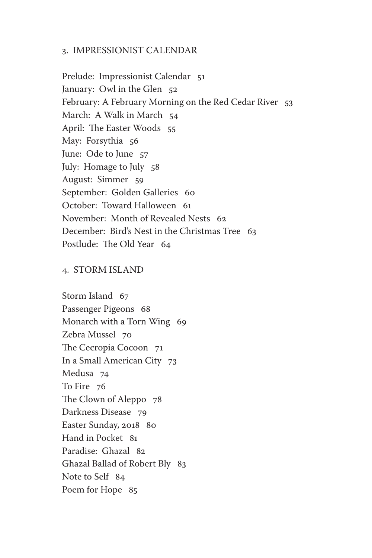## 3. IMPRESSIONIST CALENDAR

Prelude: Impressionist Calendar 51 January: Owl in the Glen 52 February: A February Morning on the Red Cedar River 53 March: A Walk in March 54 April: The Easter Woods 55 May: Forsythia 56 June: Ode to June 57 July: Homage to July 58 August: Simmer 59 September: Golden Galleries 60 October: Toward Halloween 61 November: Month of Revealed Nests 62 December: Bird's Nest in the Christmas Tree 63 Postlude: The Old Year 64

#### 4. STORM ISLAND

Storm Island 67 Passenger Pigeons 68 Monarch with a Torn Wing 69 Zebra Mussel 70 The Cecropia Cocoon 71 In a Small American City 73 Medusa 74 To Fire 76 The Clown of Aleppo 78 Darkness Disease 79 Easter Sunday, 2018 80 Hand in Pocket 81 Paradise: Ghazal 82 Ghazal Ballad of Robert Bly 83 Note to Self 84 Poem for Hope 85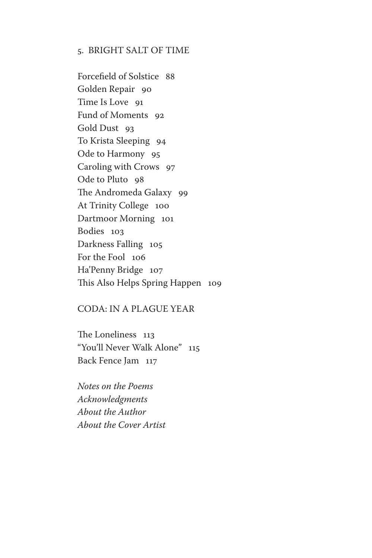# 5. BRIGHT SALT OF TIME

Forcefield of Solstice 88 Golden Repair 90 Time Is Love 91 Fund of Moments 92 Gold Dust 93 To Krista Sleeping 94 Ode to Harmony 95 Caroling with Crows 97 Ode to Pluto 98 The Andromeda Galaxy 99 At Trinity College 100 Dartmoor Morning 101 Bodies 103 Darkness Falling 105 For the Fool 106 Ha'Penny Bridge 107 This Also Helps Spring Happen 109

# CODA: IN A PLAGUE YEAR

The Loneliness 113 "You'll Never Walk Alone" 115 Back Fence Jam 117

*Notes on the Poems Acknowledgments About the Author About the Cover Artist*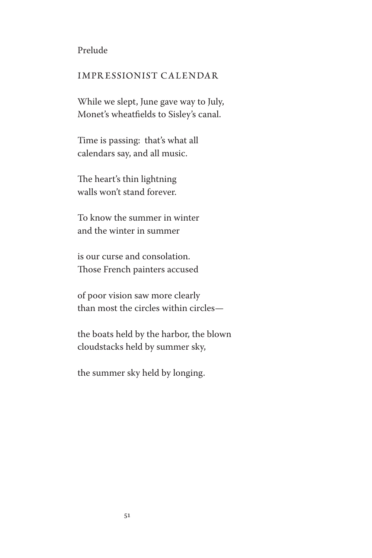#### Prelude

# IMPRESSIONIST CALENDAR

While we slept, June gave way to July, Monet's wheatfields to Sisley's canal.

Time is passing: that's what all calendars say, and all music.

The heart's thin lightning walls won't stand forever.

To know the summer in winter and the winter in summer

is our curse and consolation. Those French painters accused

of poor vision saw more clearly than most the circles within circles—

the boats held by the harbor, the blown cloudstacks held by summer sky,

the summer sky held by longing.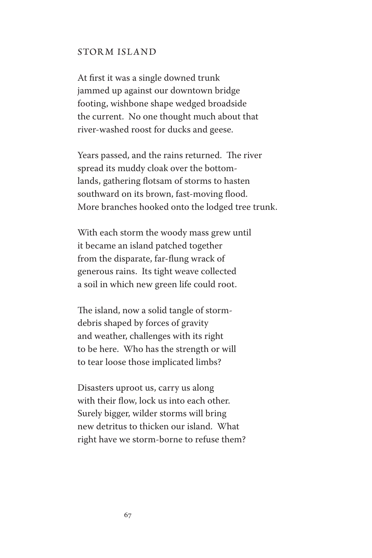#### STORM ISLAND

At first it was a single downed trunk jammed up against our downtown bridge footing, wishbone shape wedged broadside the current. No one thought much about that river-washed roost for ducks and geese.

Years passed, and the rains returned. The river spread its muddy cloak over the bottomlands, gathering flotsam of storms to hasten southward on its brown, fast-moving flood. More branches hooked onto the lodged tree trunk.

With each storm the woody mass grew until it became an island patched together from the disparate, far-flung wrack of generous rains. Its tight weave collected a soil in which new green life could root.

The island, now a solid tangle of stormdebris shaped by forces of gravity and weather, challenges with its right to be here. Who has the strength or will to tear loose those implicated limbs?

Disasters uproot us, carry us along with their flow, lock us into each other. Surely bigger, wilder storms will bring new detritus to thicken our island. What right have we storm-borne to refuse them?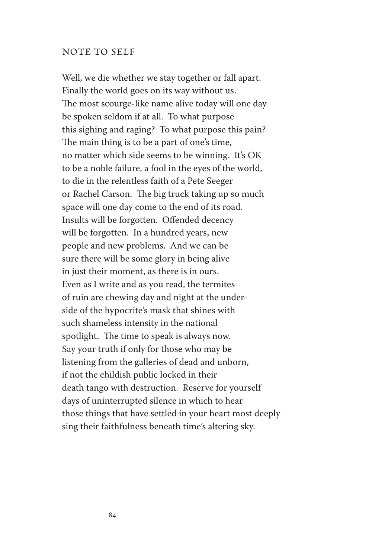## NOTE TO SELF

Well, we die whether we stay together or fall apart. Finally the world goes on its way without us. The most scourge-like name alive today will one day be spoken seldom if at all. To what purpose this sighing and raging? To what purpose this pain? The main thing is to be a part of one's time, no matter which side seems to be winning. It's OK to be a noble failure, a fool in the eyes of the world, to die in the relentless faith of a Pete Seeger or Rachel Carson. The big truck taking up so much space will one day come to the end of its road. Insults will be forgotten. Offended decency will be forgotten. In a hundred years, new people and new problems. And we can be sure there will be some glory in being alive in just their moment, as there is in ours. Even as I write and as you read, the termites of ruin are chewing day and night at the underside of the hypocrite's mask that shines with such shameless intensity in the national spotlight. The time to speak is always now. Say your truth if only for those who may be listening from the galleries of dead and unborn, if not the childish public locked in their death tango with destruction. Reserve for yourself days of uninterrupted silence in which to hear those things that have settled in your heart most deeply sing their faithfulness beneath time's altering sky.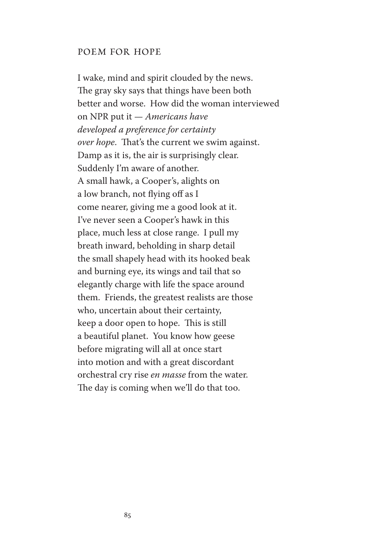## POEM FOR HOPE

I wake, mind and spirit clouded by the news. The gray sky says that things have been both better and worse. How did the woman interviewed on NPR put it — *Americans have developed a preference for certainty over hope*. That's the current we swim against. Damp as it is, the air is surprisingly clear. Suddenly I'm aware of another. A small hawk, a Cooper's, alights on a low branch, not flying off as I come nearer, giving me a good look at it. I've never seen a Cooper's hawk in this place, much less at close range. I pull my breath inward, beholding in sharp detail the small shapely head with its hooked beak and burning eye, its wings and tail that so elegantly charge with life the space around them. Friends, the greatest realists are those who, uncertain about their certainty, keep a door open to hope. This is still a beautiful planet. You know how geese before migrating will all at once start into motion and with a great discordant orchestral cry rise *en masse* from the water. The day is coming when we'll do that too.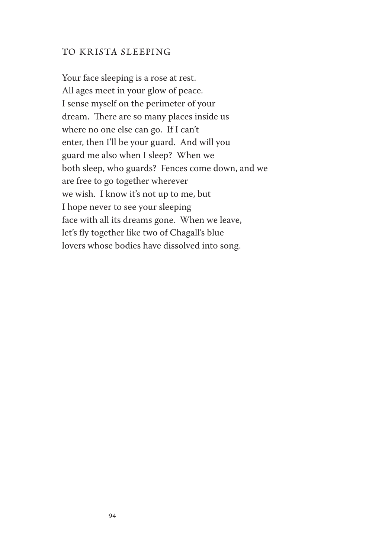# TO KRISTA SLEEPING

Your face sleeping is a rose at rest. All ages meet in your glow of peace. I sense myself on the perimeter of your dream. There are so many places inside us where no one else can go. If I can't enter, then I'll be your guard. And will you guard me also when I sleep? When we both sleep, who guards? Fences come down, and we are free to go together wherever we wish. I know it's not up to me, but I hope never to see your sleeping face with all its dreams gone. When we leave, let's fly together like two of Chagall's blue lovers whose bodies have dissolved into song.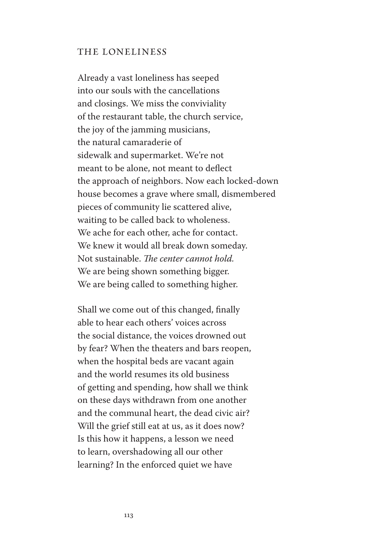#### THE LONELINESS

Already a vast loneliness has seeped into our souls with the cancellations and closings. We miss the conviviality of the restaurant table, the church service, the joy of the jamming musicians, the natural camaraderie of sidewalk and supermarket. We're not meant to be alone, not meant to deflect the approach of neighbors. Now each locked-down house becomes a grave where small, dismembered pieces of community lie scattered alive, waiting to be called back to wholeness. We ache for each other, ache for contact. We knew it would all break down someday. Not sustainable. *The center cannot hold.* We are being shown something bigger. We are being called to something higher.

Shall we come out of this changed, finally able to hear each others' voices across the social distance, the voices drowned out by fear? When the theaters and bars reopen, when the hospital beds are vacant again and the world resumes its old business of getting and spending, how shall we think on these days withdrawn from one another and the communal heart, the dead civic air? Will the grief still eat at us, as it does now? Is this how it happens, a lesson we need to learn, overshadowing all our other learning? In the enforced quiet we have